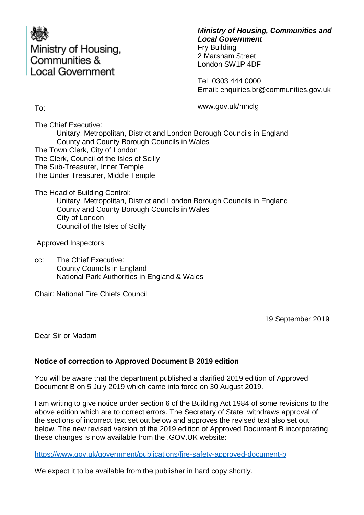

### *Ministry of Housing, Communities and Local Government*

Fry Building 2 Marsham Street London SW1P 4DF

Tel: 0303 444 0000 Email: enquiries.br@communities.gov.uk

To:

www.gov.uk/mhclg

The Chief Executive: Unitary, Metropolitan, District and London Borough Councils in England County and County Borough Councils in Wales The Town Clerk, City of London The Clerk, Council of the Isles of Scilly The Sub-Treasurer, Inner Temple The Under Treasurer, Middle Temple

The Head of Building Control:

Unitary, Metropolitan, District and London Borough Councils in England County and County Borough Councils in Wales City of London Council of the Isles of Scilly

Approved Inspectors

cc: The Chief Executive: County Councils in England National Park Authorities in England & Wales

Chair: National Fire Chiefs Council

19 September 2019

Dear Sir or Madam

# **Notice of correction to Approved Document B 2019 edition**

You will be aware that the department published a clarified 2019 edition of Approved Document B on 5 July 2019 which came into force on 30 August 2019.

I am writing to give notice under section 6 of the Building Act 1984 of some revisions to the above edition which are to correct errors. The Secretary of State withdraws approval of the sections of incorrect text set out below and approves the revised text also set out below. The new revised version of the 2019 edition of Approved Document B incorporating these changes is now available from the .GOV.UK website:

<https://www.gov.uk/government/publications/fire-safety-approved-document-b>

We expect it to be available from the publisher in hard copy shortly.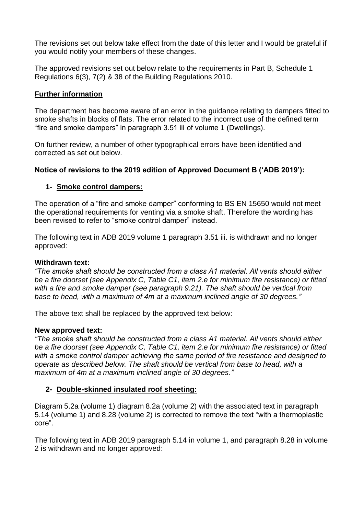The revisions set out below take effect from the date of this letter and I would be grateful if you would notify your members of these changes.

The approved revisions set out below relate to the requirements in Part B, Schedule 1 Regulations 6(3), 7(2) & 38 of the Building Regulations 2010.

# **Further information**

The department has become aware of an error in the guidance relating to dampers fitted to smoke shafts in blocks of flats. The error related to the incorrect use of the defined term "fire and smoke dampers" in paragraph 3.51 iii of volume 1 (Dwellings).

On further review, a number of other typographical errors have been identified and corrected as set out below.

## **Notice of revisions to the 2019 edition of Approved Document B ('ADB 2019'):**

## **1- Smoke control dampers:**

The operation of a "fire and smoke damper" conforming to BS EN 15650 would not meet the operational requirements for venting via a smoke shaft. Therefore the wording has been revised to refer to "smoke control damper" instead.

The following text in ADB 2019 volume 1 paragraph 3.51 iii. is withdrawn and no longer approved:

#### **Withdrawn text:**

*"The smoke shaft should be constructed from a class A1 material. All vents should either be a fire doorset (see Appendix C, Table C1, item 2.e for minimum fire resistance) or fitted with a fire and smoke damper (see paragraph 9.21). The shaft should be vertical from base to head, with a maximum of 4m at a maximum inclined angle of 30 degrees."*

The above text shall be replaced by the approved text below:

#### **New approved text:**

*"The smoke shaft should be constructed from a class A1 material. All vents should either be a fire doorset (see Appendix C, Table C1, item 2.e for minimum fire resistance) or fitted with a smoke control damper achieving the same period of fire resistance and designed to operate as described below. The shaft should be vertical from base to head, with a maximum of 4m at a maximum inclined angle of 30 degrees."*

#### **2- Double-skinned insulated roof sheeting:**

Diagram 5.2a (volume 1) diagram 8.2a (volume 2) with the associated text in paragraph 5.14 (volume 1) and 8.28 (volume 2) is corrected to remove the text "with a thermoplastic core".

The following text in ADB 2019 paragraph 5.14 in volume 1, and paragraph 8.28 in volume 2 is withdrawn and no longer approved: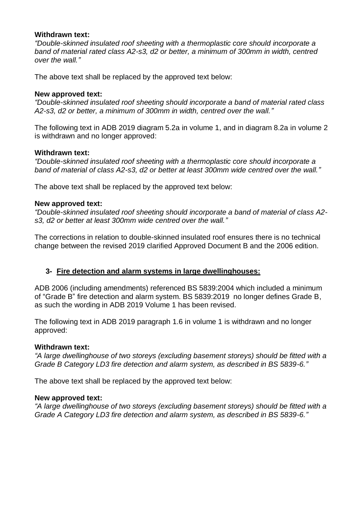#### **Withdrawn text:**

*"Double-skinned insulated roof sheeting with a thermoplastic core should incorporate a band of material rated class A2-s3, d2 or better, a minimum of 300mm in width, centred over the wall."*

The above text shall be replaced by the approved text below:

### **New approved text:**

*"Double-skinned insulated roof sheeting should incorporate a band of material rated class A2-s3, d2 or better, a minimum of 300mm in width, centred over the wall."*

The following text in ADB 2019 diagram 5.2a in volume 1, and in diagram 8.2a in volume 2 is withdrawn and no longer approved:

#### **Withdrawn text:**

*"Double-skinned insulated roof sheeting with a thermoplastic core should incorporate a band of material of class A2-s3, d2 or better at least 300mm wide centred over the wall."*

The above text shall be replaced by the approved text below:

## **New approved text:**

*"Double-skinned insulated roof sheeting should incorporate a band of material of class A2 s3, d2 or better at least 300mm wide centred over the wall."*

The corrections in relation to double-skinned insulated roof ensures there is no technical change between the revised 2019 clarified Approved Document B and the 2006 edition.

# **3- Fire detection and alarm systems in large dwellinghouses:**

ADB 2006 (including amendments) referenced BS 5839:2004 which included a minimum of "Grade B" fire detection and alarm system. BS 5839:2019 no longer defines Grade B, as such the wording in ADB 2019 Volume 1 has been revised.

The following text in ADB 2019 paragraph 1.6 in volume 1 is withdrawn and no longer approved:

#### **Withdrawn text:**

*"A large dwellinghouse of two storeys (excluding basement storeys) should be fitted with a Grade B Category LD3 fire detection and alarm system, as described in BS 5839-6."*

The above text shall be replaced by the approved text below:

#### **New approved text:**

*"A large dwellinghouse of two storeys (excluding basement storeys) should be fitted with a Grade A Category LD3 fire detection and alarm system, as described in BS 5839-6."*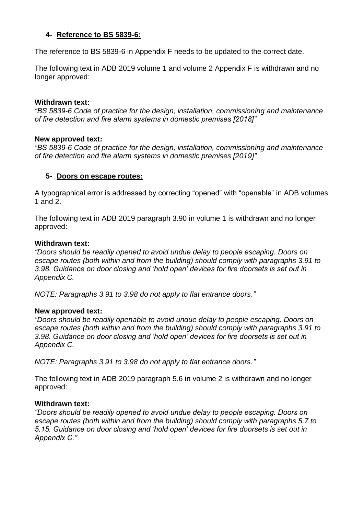# **4- Reference to BS 5839-6:**

The reference to BS 5839-6 in Appendix F needs to be updated to the correct date.

The following text in ADB 2019 volume 1 and volume 2 Appendix F is withdrawn and no longer approved:

### **Withdrawn text:**

*"BS 5839-6 Code of practice for the design, installation, commissioning and maintenance of fire detection and fire alarm systems in domestic premises [2018]"*

#### **New approved text:**

*"BS 5839-6 Code of practice for the design, installation, commissioning and maintenance of fire detection and fire alarm systems in domestic premises [2019]"*

## **5- Doors on escape routes:**

A typographical error is addressed by correcting "opened" with "openable" in ADB volumes 1 and 2.

The following text in ADB 2019 paragraph 3.90 in volume 1 is withdrawn and no longer approved:

#### **Withdrawn text:**

*"Doors should be readily opened to avoid undue delay to people escaping. Doors on escape routes (both within and from the building) should comply with paragraphs 3.91 to 3.98. Guidance on door closing and 'hold open' devices for fire doorsets is set out in Appendix C.*

*NOTE: Paragraphs 3.91 to 3.98 do not apply to flat entrance doors."*

#### **New approved text:**

*"Doors should be readily openable to avoid undue delay to people escaping. Doors on escape routes (both within and from the building) should comply with paragraphs 3.91 to 3.98. Guidance on door closing and 'hold open' devices for fire doorsets is set out in Appendix C.*

*NOTE: Paragraphs 3.91 to 3.98 do not apply to flat entrance doors."*

The following text in ADB 2019 paragraph 5.6 in volume 2 is withdrawn and no longer approved:

#### **Withdrawn text:**

*"Doors should be readily opened to avoid undue delay to people escaping. Doors on escape routes (both within and from the building) should comply with paragraphs 5.7 to 5.15. Guidance on door closing and 'hold open' devices for fire doorsets is set out in Appendix C."*